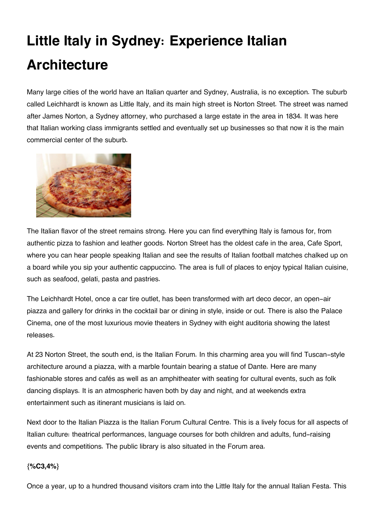## **Little Italy in Sydney: Experience Italian Architecture**

Many large cities of the world have an Italian quarter and Sydney, Australia, is no exception. The suburb called Leichhardt is known as Little Italy, and its main high street is Norton Street. The street was named after James Norton, a Sydney attorney, who purchased a large estate in the area in 1834. It was here that Italian working class immigrants settled and eventually set up businesses so that now it is the main commercial center of the suburb.



The Italian flavor of the street remains strong. Here you can find everything Italy is famous for, from authentic pizza to fashion and leather goods. Norton Street has the oldest cafe in the area, Cafe Sport, where you can hear people speaking Italian and see the results of Italian football matches chalked up on a board while you sip your authentic cappuccino. The area is full of places to enjoy typical Italian cuisine, such as seafood, gelati, pasta and pastries.

The Leichhardt Hotel, once a car tire outlet, has been transformed with art deco decor, an open-air piazza and gallery for drinks in the cocktail bar or dining in style, inside or out. There is also the Palace Cinema, one of the most luxurious movie theaters in Sydney with eight auditoria showing the latest releases.

At 23 Norton Street, the south end, is the Italian Forum. In this charming area you will find Tuscan-style architecture around a piazza, with a marble fountain bearing a statue of Dante. Here are many fashionable stores and cafés as well as an amphitheater with seating for cultural events, such as folk dancing displays. It is an atmospheric haven both by day and night, and at weekends extra entertainment such as itinerant musicians is laid on.

Next door to the Italian Piazza is the Italian Forum Cultural Centre. This is a lively focus for all aspects of Italian culture: theatrical performances, language courses for both children and adults, fund-raising events and competitions. The public library is also situated in the Forum area.

## **{%C3,4%}**

Once a year, up to a hundred thousand visitors cram into the Little Italy for the annual Italian Festa. This